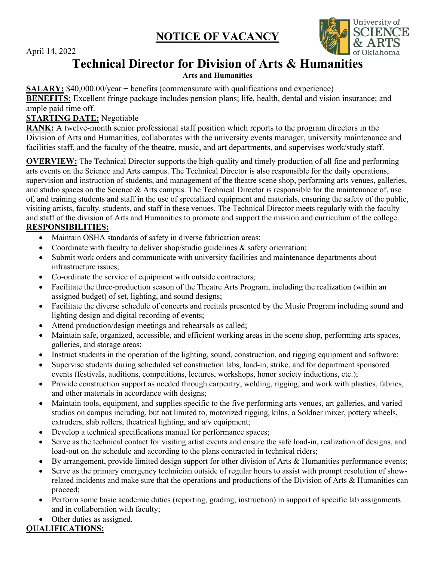**NOTICE OF VACANCY** 

April 14, 2022



# **Technical Director for Division of Arts & Humanities**

#### **Arts and Humanities**

**SALARY:** \$40,000.00/year + benefits (commensurate with qualifications and experience)

 **BENEFITS:** Excellent fringe package includes pension plans; life, health, dental and vision insurance; and ample paid time off.

## **STARTING DATE:** Negotiable

 **RANK:** A twelve-month senior professional staff position which reports to the program directors in the Division of Arts and Humanities, collaborates with the university events manager, university maintenance and facilities staff, and the faculty of the theatre, music, and art departments, and supervises work/study staff.

**OVERVIEW:** The Technical Director supports the high-quality and timely production of all fine and performing arts events on the Science and Arts campus. The Technical Director is also responsible for the daily operations, supervision and instruction of students, and management of the theatre scene shop, performing arts venues, galleries, and studio spaces on the Science & Arts campus. The Technical Director is responsible for the maintenance of, use of, and training students and staff in the use of specialized equipment and materials, ensuring the safety of the public, visiting artists, faculty, students, and staff in these venues. The Technical Director meets regularly with the faculty and staff of the division of Arts and Humanities to promote and support the mission and curriculum of the college. **RESPONSIBILITIES:** 

- Maintain OSHA standards of safety in diverse fabrication areas;
- Coordinate with faculty to deliver shop/studio guidelines & safety orientation;
- Submit work orders and communicate with university facilities and maintenance departments about infrastructure issues;
- Co-ordinate the service of equipment with outside contractors;
- assigned budget) of set, lighting, and sound designs; • Facilitate the three-production season of the Theatre Arts Program, including the realization (within an
- Facilitate the diverse schedule of concerts and recitals presented by the Music Program including sound and lighting design and digital recording of events;
- Attend production/design meetings and rehearsals as called;
- • Maintain safe, organized, accessible, and efficient working areas in the scene shop, performing arts spaces, galleries, and storage areas;
- Instruct students in the operation of the lighting, sound, construction, and rigging equipment and software;
- events (festivals, auditions, competitions, lectures, workshops, honor society inductions, etc.); • Supervise students during scheduled set construction labs, load-in, strike, and for department sponsored
- • Provide construction support as needed through carpentry, welding, rigging, and work with plastics, fabrics, and other materials in accordance with designs;
- • Maintain tools, equipment, and supplies specific to the five performing arts venues, art galleries, and varied extruders, slab rollers, theatrical lighting, and a/v equipment; studios on campus including, but not limited to, motorized rigging, kilns, a Soldner mixer, pottery wheels,
- Develop a technical specifications manual for performance spaces;
- Serve as the technical contact for visiting artist events and ensure the safe load-in, realization of designs, and load-out on the schedule and according to the plans contracted in technical riders;
- By arrangement, provide limited design support for other division of Arts & Humanities performance events;
- Serve as the primary emergency technician outside of regular hours to assist with prompt resolution of showrelated incidents and make sure that the operations and productions of the Division of Arts & Humanities can proceed;
- Perform some basic academic duties (reporting, grading, instruction) in support of specific lab assignments and in collaboration with faculty;
- Other duties as assigned.

# **QUALIFICATIONS:**